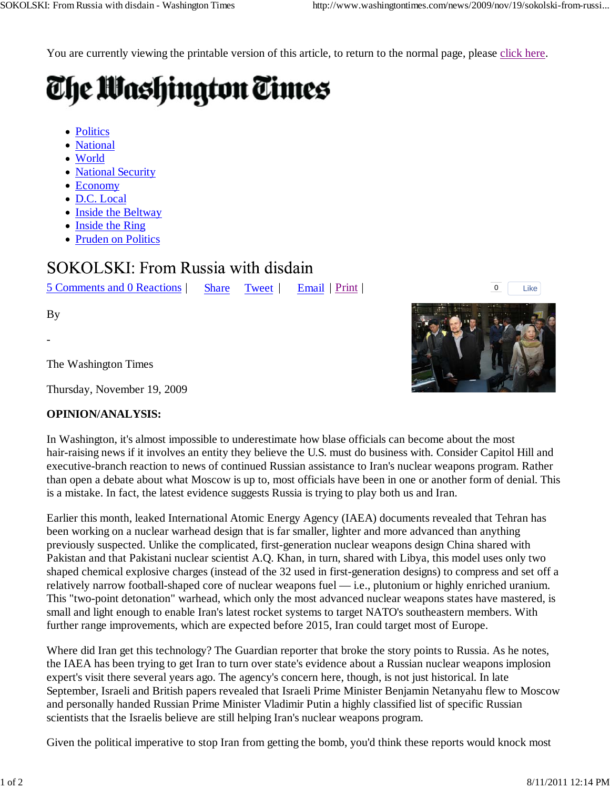You are currently viewing the printable version of this article, to return to the normal page, please click here.

## The Washington Times

- Politics
- National
- World
- National Security
- Economy
- D.C. Local
- Inside the Beltway
- Inside the Ring
- Pruden on Politics

## **SOKOLSKI: From Russia with disdain**

5 Comments and 0 Reactions | Share Tweet | Email | Print | <sup>0</sup>

Like

By

-

The Washington Times

Thursday, November 19, 2009

## **OPINION/ANALYSIS:**

In Washington, it's almost impossible to underestimate how blase officials can become about the most hair-raising news if it involves an entity they believe the U.S. must do business with. Consider Capitol Hill and executive-branch reaction to news of continued Russian assistance to Iran's nuclear weapons program. Rather than open a debate about what Moscow is up to, most officials have been in one or another form of denial. This is a mistake. In fact, the latest evidence suggests Russia is trying to play both us and Iran.

Earlier this month, leaked International Atomic Energy Agency (IAEA) documents revealed that Tehran has been working on a nuclear warhead design that is far smaller, lighter and more advanced than anything previously suspected. Unlike the complicated, first-generation nuclear weapons design China shared with Pakistan and that Pakistani nuclear scientist A.Q. Khan, in turn, shared with Libya, this model uses only two shaped chemical explosive charges (instead of the 32 used in first-generation designs) to compress and set off a relatively narrow football-shaped core of nuclear weapons fuel — i.e., plutonium or highly enriched uranium. This "two-point detonation" warhead, which only the most advanced nuclear weapons states have mastered, is small and light enough to enable Iran's latest rocket systems to target NATO's southeastern members. With further range improvements, which are expected before 2015, Iran could target most of Europe.

Where did Iran get this technology? The Guardian reporter that broke the story points to Russia. As he notes, the IAEA has been trying to get Iran to turn over state's evidence about a Russian nuclear weapons implosion expert's visit there several years ago. The agency's concern here, though, is not just historical. In late September, Israeli and British papers revealed that Israeli Prime Minister Benjamin Netanyahu flew to Moscow and personally handed Russian Prime Minister Vladimir Putin a highly classified list of specific Russian scientists that the Israelis believe are still helping Iran's nuclear weapons program.

Given the political imperative to stop Iran from getting the bomb, you'd think these reports would knock most